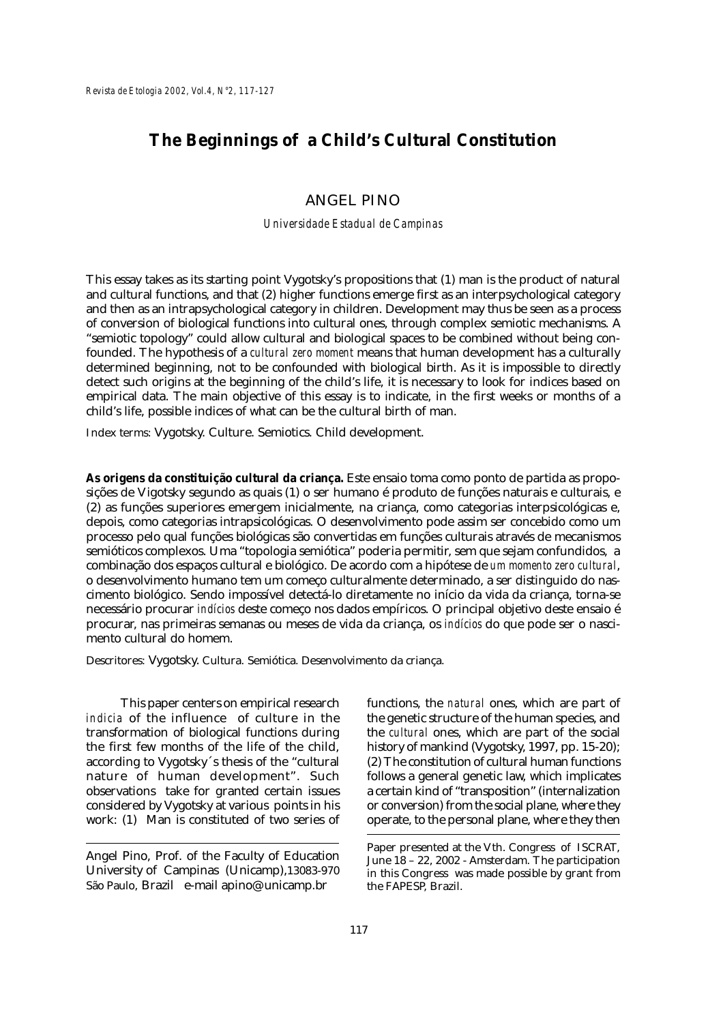# **The Beginnings of a Child's Cultural Constitution**

# ANGEL PINO

#### *Universidade Estadual de Campinas*

This essay takes as its starting point Vygotsky's propositions that (1) man is the product of natural and cultural functions, and that (2) higher functions emerge first as an interpsychological category and then as an intrapsychological category in children. Development may thus be seen as a process of conversion of biological functions into cultural ones, through complex semiotic mechanisms. A "semiotic topology" could allow cultural and biological spaces to be combined without being confounded. The hypothesis of a *cultural zero moment* means that human development has a culturally determined beginning, not to be confounded with biological birth. As it is impossible to directly detect such origins at the beginning of the child's life, it is necessary to look for indices based on empirical data. The main objective of this essay is to indicate, in the first weeks or months of a child's life, possible indices of what can be the cultural birth of man.

Index terms: Vygotsky. Culture. Semiotics. Child development.

**As origens da constituição cultural da criança.** Este ensaio toma como ponto de partida as proposições de Vigotsky segundo as quais (1) o ser humano é produto de funções naturais e culturais, e (2) as funções superiores emergem inicialmente, na criança, como categorias interpsicológicas e, depois, como categorias intrapsicológicas. O desenvolvimento pode assim ser concebido como um processo pelo qual funções biológicas são convertidas em funções culturais através de mecanismos semióticos complexos. Uma "topologia semiótica" poderia permitir, sem que sejam confundidos, a combinação dos espaços cultural e biológico. De acordo com a hipótese de *um momento zero cultural*, o desenvolvimento humano tem um começo culturalmente determinado, a ser distinguido do nascimento biológico. Sendo impossível detectá-lo diretamente no início da vida da criança, torna-se necessário procurar *indícios* deste começo nos dados empíricos. O principal objetivo deste ensaio é procurar, nas primeiras semanas ou meses de vida da criança, os *indícios* do que pode ser o nascimento cultural do homem.

Descritores: Vygotsky. Cultura. Semiótica. Desenvolvimento da criança.

This paper centers on empirical research *indicia* of the influence of culture in the transformation of biological functions during the first few months of the life of the child, according to Vygotsky´s thesis of the "cultural nature of human development". Such observations take for granted certain issues considered by Vygotsky at various points in his work: (1) Man is constituted of two series of functions, the *natural* ones, which are part of the genetic structure of the human species, and the *cultural* ones, which are part of the social history of mankind (Vygotsky, 1997, pp. 15-20); (2) The constitution of cultural human functions follows a general genetic law, which implicates a certain kind of "transposition" (internalization or conversion) from the social plane, where they operate, to the personal plane, where they then

Angel Pino, Prof. of the Faculty of Education University of Campinas (Unicamp),13083-970 São Paulo, Brazil e-mail apino@unicamp.br

Paper presented at the Vth. Congress of ISCRAT, June 18 – 22, 2002 - Amsterdam. The participation in this Congress was made possible by grant from the FAPESP, Brazil.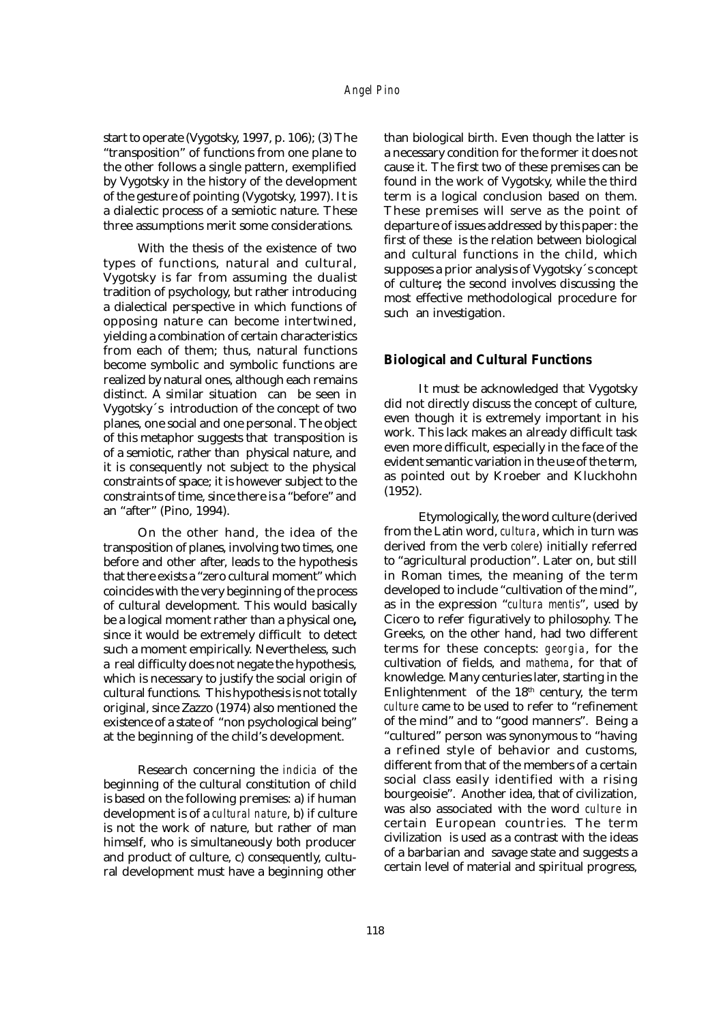start to operate (Vygotsky, 1997, p. 106); (3) The "transposition" of functions from one plane to the other follows a single pattern, exemplified by Vygotsky in the history of the development of the gesture of pointing (Vygotsky, 1997). It is a dialectic process of a semiotic nature. These three assumptions merit some considerations.

With the thesis of the existence of two types of functions, natural and cultural, Vygotsky is far from assuming the dualist tradition of psychology, but rather introducing a dialectical perspective in which functions of opposing nature can become intertwined, yielding a combination of certain characteristics from each of them; thus, natural functions become symbolic and symbolic functions are realized by natural ones, although each remains distinct. A similar situation can be seen in Vygotsky´s introduction of the concept of two planes, one social and one personal. The object of this metaphor suggests that transposition is of a semiotic, rather than physical nature, and it is consequently not subject to the physical constraints of space; it is however subject to the constraints of time, since there is a "before" and an "after" (Pino, 1994).

On the other hand, the idea of the transposition of planes, involving two times, one before and other after, leads to the hypothesis that there exists a "zero cultural moment" which coincides with the very beginning of the process of cultural development. This would basically be a logical moment rather than a physical one**,** since it would be extremely difficult to detect such a moment empirically. Nevertheless, such a real difficulty does not negate the hypothesis, which is necessary to justify the social origin of cultural functions. This hypothesis is not totally original, since Zazzo (1974) also mentioned the existence of a state of "non psychological being" at the beginning of the child's development.

Research concerning the *indicia* of the beginning of the cultural constitution of child is based on the following premises: a) if human development is of a *cultural nature*, b) if culture is not the work of nature, but rather of man himself, who is simultaneously both producer and product of culture, c) consequently, cultural development must have a beginning other

**A** a necessary condition for the former it does not than biological birth. Even though the latter is cause it. The first two of these premises can be found in the work of Vygotsky, while the third term is a logical conclusion based on them. These premises will serve as the point of departure of issues addressed by this paper: the first of these is the relation between biological and cultural functions in the child, which supposes a prior analysis of Vygotsky´s concept of culture**;** the second involves discussing the most effective methodological procedure for such an investigation.

## **Biological and Cultural Functions**

even tnougn it is extremely important in his<br>work. This lack makes an already difficult task It must be acknowledged that Vygotsky did not directly discuss the concept of culture, even though it is extremely important in his even more difficult, especially in the face of the evident semantic variation in the use of the term, as pointed out by Kroeber and Kluckhohn (1952).

derive<br>urn wa<br>eferre Etymologically, the word culture (derived from the Latin word, *cultura*, which in turn was derived from the verb *colere*) initially referred to "agricultural production". Later on, but still in Roman times, the meaning of the term developed to include "cultivation of the mind", as in the expression "*cultura mentis*", used by Cicero to refer figuratively to philosophy. The Greeks, on the other hand, had two different terms for these concepts: *georgia*, for the cultivation of fields, and *mathema*, for that of knowledge. Many centuries later, starting in the Enlightenment of the 18th century, the term *culture* came to be used to refer to "refinement of the mind" and to "good manners". Being a "cultured" person was synonymous to "having a refined style of behavior and customs, different from that of the members of a certain social class easily identified with a rising bourgeoisie". Another idea, that of civilization, was also associated with the word *culture* in certain European countries. The term civilization is used as a contrast with the ideas of a barbarian and savage state and suggests a certain level of material and spiritual progress,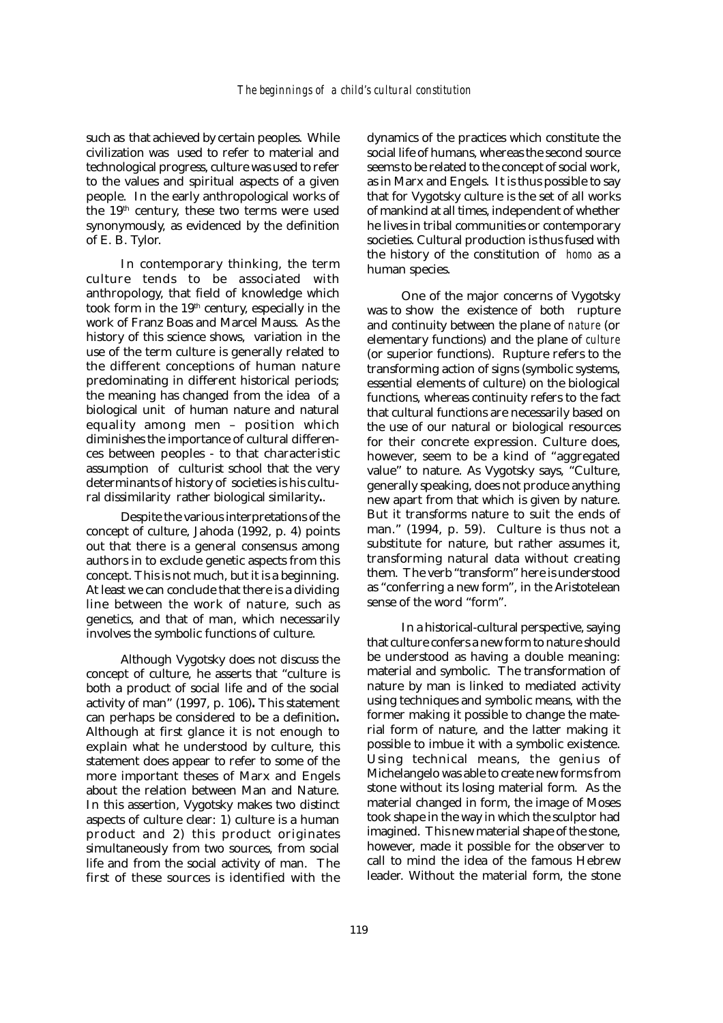such as that achieved by certain peoples. While civilization was used to refer to material and technological progress, culture was used to refer to the values and spiritual aspects of a given people. In the early anthropological works of the 19<sup>th</sup> century, these two terms were used synonymously, as evidenced by the definition of E. B. Tylor.

In contemporary thinking, the term culture tends to be associated with anthropology, that field of knowledge which took form in the  $19<sup>th</sup>$  century, especially in the work of Franz Boas and Marcel Mauss. As the history of this science shows, variation in the use of the term culture is generally related to the different conceptions of human nature predominating in different historical periods; the meaning has changed from the idea of a biological unit of human nature and natural equality among men – position which diminishes the importance of cultural differences between peoples - to that characteristic assumption of culturist school that the very determinants of history of societies is his cultural dissimilarity rather biological similarity**.**.

Despite the various interpretations of the concept of culture, Jahoda (1992, p. 4) points out that there is a general consensus among authors in to exclude genetic aspects from this concept. This is not much, but it is a beginning. At least we can conclude that there is a dividing line between the work of nature, such as genetics, and that of man, which necessarily involves the symbolic functions of culture.

Although Vygotsky does not discuss the concept of culture, he asserts that "culture is both a product of social life and of the social activity of man" (1997, p. 106)**.** This statement can perhaps be considered to be a definition**.** Although at first glance it is not enough to explain what he understood by culture, this statement does appear to refer to some of the more important theses of Marx and Engels about the relation between Man and Nature. In this assertion, Vygotsky makes two distinct aspects of culture clear: 1) culture is a human product and 2) this product originates simultaneously from two sources, from social life and from the social activity of man. The first of these sources is identified with the

dynamics of the practices which constitute the social life of humans, whereas the second source seems to be related to the concept of social work, as in Marx and Engels. It is thus possible to say that for Vygotsky culture is the set of all works of mankind at all times, independent of whether he lives in tribal communities or contemporary societies. Cultural production is thus fused with the history of the constitution of *homo* as a human species.

One of the major concerns of Vygotsky was to show the existence of both rupture and continuity between the plane of *nature* (or elementary functions) and the plane of *culture* (or superior functions). Rupture refers to the transforming action of signs (symbolic systems, essential elements of culture) on the biological functions, whereas continuity refers to the fact that cultural functions are necessarily based on the use of our natural or biological resources for their concrete expression. Culture does, however, seem to be a kind of "aggregated value" to nature. As Vygotsky says, "Culture, generally speaking, does not produce anything new apart from that which is given by nature. But it transforms nature to suit the ends of man." (1994, p. 59). Culture is thus not a substitute for nature, but rather assumes it, transforming natural data without creating them. The verb "transform" here is understood as "conferring a new form", in the Aristotelean sense of the word "form".

In a historical-cultural perspective, saying that culture confers a new form to nature should be understood as having a double meaning: material and symbolic. The transformation of nature by man is linked to mediated activity using techniques and symbolic means, with the former making it possible to change the material form of nature, and the latter making it possible to imbue it with a symbolic existence. Using technical means, the genius of Michelangelo was able to create new forms from stone without its losing material form. As the material changed in form, the image of Moses took shape in the way in which the sculptor had imagined. This new material shape of the stone, however, made it possible for the observer to call to mind the idea of the famous Hebrew leader. Without the material form, the stone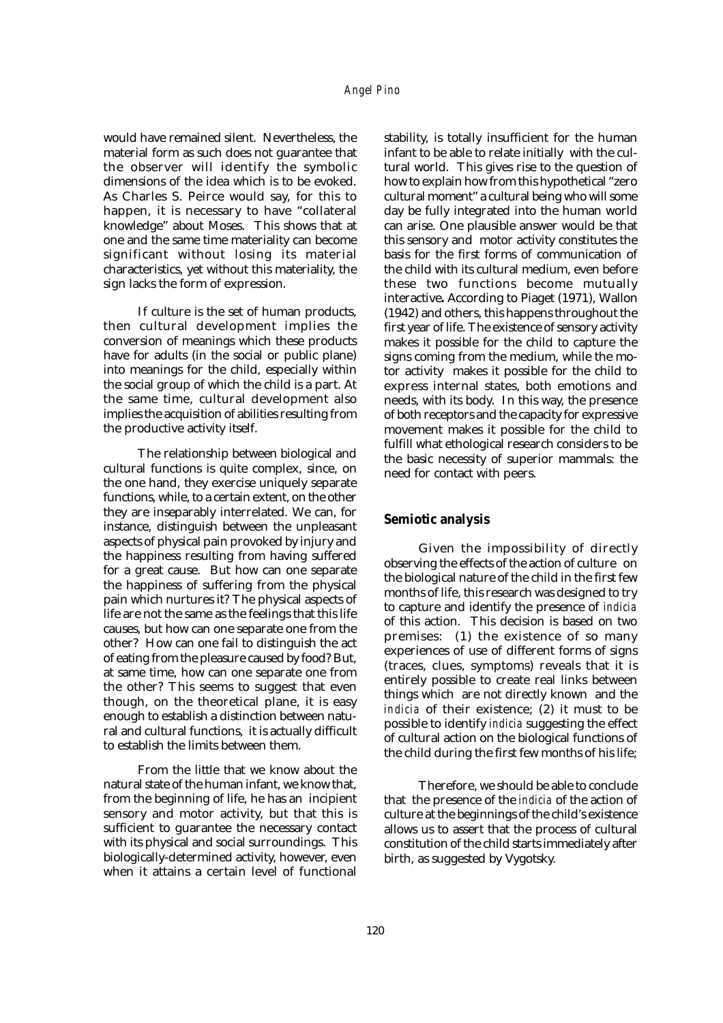would have remained silent. Nevertheless, the material form as such does not guarantee that the observer will identify the symbolic dimensions of the idea which is to be evoked. As Charles S. Peirce would say, for this to happen, it is necessary to have "collateral knowledge" about Moses. This shows that at one and the same time materiality can become significant without losing its material characteristics, yet without this materiality, the sign lacks the form of expression.

If culture is the set of human products, then cultural development implies the conversion of meanings which these products have for adults (in the social or public plane) into meanings for the child, especially within the social group of which the child is a part. At the same time, cultural development also implies the acquisition of abilities resulting from the productive activity itself.

The relationship between biological and cultural functions is quite complex, since, on the one hand, they exercise uniquely separate functions, while, to a certain extent, on the other they are inseparably interrelated. We can, for instance, distinguish between the unpleasant aspects of physical pain provoked by injury and the happiness resulting from having suffered for a great cause. But how can one separate the happiness of suffering from the physical pain which nurtures it? The physical aspects of life are not the same as the feelings that this life causes, but how can one separate one from the other? How can one fail to distinguish the act of eating from the pleasure caused by food? But, at same time, how can one separate one from the other? This seems to suggest that even though, on the theoretical plane, it is easy enough to establish a distinction between natural and cultural functions, it is actually difficult to establish the limits between them.

From the little that we know about the natural state of the human infant, we know that, from the beginning of life, he has an incipient sensory and motor activity, but that this is sufficient to guarantee the necessary contact with its physical and social surroundings. This biologically-determined activity, however, even when it attains a certain level of functional stability, is totally insufficient for the human infant to be able to relate initially with the cultural world. This gives rise to the question of how to explain how from this hypothetical "zero cultural moment" a cultural being who will some day be fully integrated into the human world can arise. One plausible answer would be that this sensory and motor activity constitutes the basis for the first forms of communication of the child with its cultural medium, even before these two functions become mutually interactive**.** According to Piaget (1971), Wallon (1942) and others, this happens throughout the first year of life. The existence of sensory activity makes it possible for the child to capture the signs coming from the medium, while the motor activity makes it possible for the child to express internal states, both emotions and needs, with its body. In this way, the presence of both receptors and the capacity for expressive movement makes it possible for the child to fulfill what ethological research considers to be the basic necessity of superior mammals: the need for contact with peers.

### **Semiotic analysis**

Given the impossibility of directly observing the effects of the action of culture on the biological nature of the child in the first few months of life, this research was designed to try to capture and identify the presence of *indicia* of this action. This decision is based on two premises: (1) the existence of so many experiences of use of different forms of signs (traces, clues, symptoms) reveals that it is entirely possible to create real links between things which are not directly known and the *indicia* of their existence; (2) it must to be possible to identify *indicia* suggesting the effect of cultural action on the biological functions of the child during the first few months of his life;

Therefore, we should be able to conclude that the presence of the *indicia* of the action of culture at the beginnings of the child's existence allows us to assert that the process of cultural constitution of the child starts immediately after birth, as suggested by Vygotsky.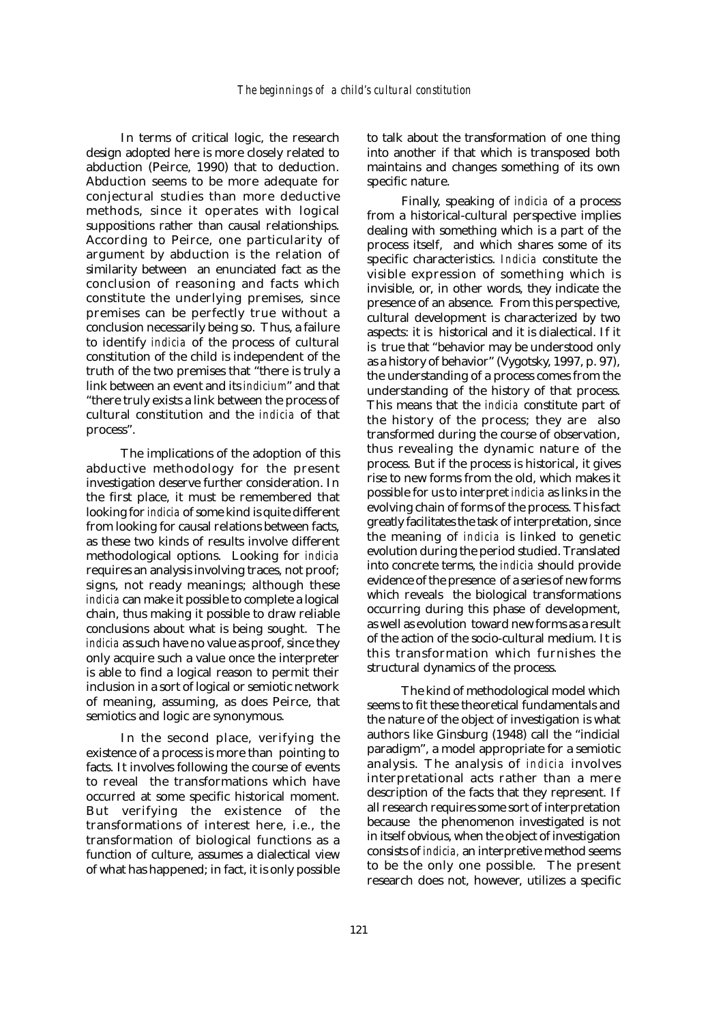In terms of critical logic, the research design adopted here is more closely related to abduction (Peirce, 1990) that to deduction. Abduction seems to be more adequate for conjectural studies than more deductive methods, since it operates with logical suppositions rather than causal relationships. According to Peirce, one particularity of argument by abduction is the relation of similarity between an enunciated fact as the conclusion of reasoning and facts which constitute the underlying premises, since premises can be perfectly true without a conclusion necessarily being so. Thus, a failure to identify *indicia* of the process of cultural constitution of the child is independent of the truth of the two premises that "there is truly a link between an event and its *indicium*" and that "there truly exists a link between the process of cultural constitution and the *indicia* of that process".

The implications of the adoption of this abductive methodology for the present investigation deserve further consideration. In the first place, it must be remembered that looking for *indicia* of some kind is quite different from looking for causal relations between facts, as these two kinds of results involve different methodological options. Looking for *indicia* requires an analysis involving traces, not proof; signs, not ready meanings; although these *indicia* can make it possible to complete a logical chain, thus making it possible to draw reliable conclusions about what is being sought. The *indicia* as such have no value as proof, since they only acquire such a value once the interpreter is able to find a logical reason to permit their inclusion in a sort of logical or semiotic network of meaning, assuming, as does Peirce, that semiotics and logic are synonymous.

In the second place, verifying the existence of a process is more than pointing to facts. It involves following the course of events to reveal the transformations which have occurred at some specific historical moment. But verifying the existence of the transformations of interest here, i.e., the transformation of biological functions as a function of culture, assumes a dialectical view of what has happened; in fact, it is only possible

to talk about the transformation of one thing into another if that which is transposed both maintains and changes something of its own specific nature.

Finally, speaking of *indicia* of a process from a historical-cultural perspective implies dealing with something which is a part of the process itself, and which shares some of its specific characteristics. *Indicia* constitute the visible expression of something which is invisible, or, in other words, they indicate the presence of an absence. From this perspective, cultural development is characterized by two aspects: it is historical and it is dialectical. If it is true that "behavior may be understood only as a history of behavior" (Vygotsky, 1997, p. 97), the understanding of a process comes from the understanding of the history of that process. This means that the *indicia* constitute part of the history of the process; they are also transformed during the course of observation, thus revealing the dynamic nature of the process. But if the process is historical, it gives rise to new forms from the old, which makes it possible for us to interpret *indicia* as links in the evolving chain of forms of the process. This fact greatly facilitates the task of interpretation, since the meaning of *indicia* is linked to genetic evolution during the period studied. Translated into concrete terms, the *indicia* should provide evidence of the presence of a series of new forms which reveals the biological transformations occurring during this phase of development, as well as evolution toward new forms as a result of the action of the socio-cultural medium. It is this transformation which furnishes the structural dynamics of the process.

The kind of methodological model which seems to fit these theoretical fundamentals and the nature of the object of investigation is what authors like Ginsburg (1948) call the "indicial paradigm", a model appropriate for a semiotic analysis. The analysis of *indicia* involves interpretational acts rather than a mere description of the facts that they represent. If all research requires some sort of interpretation because the phenomenon investigated is not in itself obvious, when the object of investigation consists of *indicia,* an interpretive method seems to be the only one possible. The present research does not, however, utilizes a specific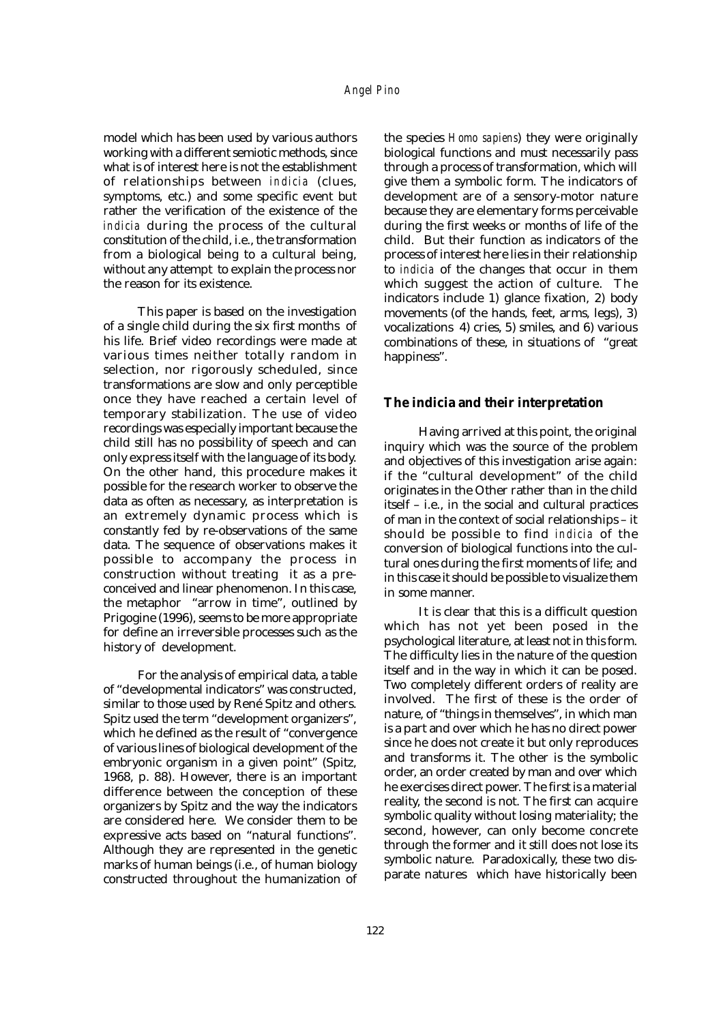model which has been used by various authors working with a different semiotic methods, since what is of interest here is not the establishment of relationships between *indicia* (clues, symptoms, etc.) and some specific event but rather the verification of the existence of the *indicia* during the process of the cultural constitution of the child, i.e., the transformation from a biological being to a cultural being, without any attempt to explain the process nor the reason for its existence.

This paper is based on the investigation of a single child during the six first months of his life. Brief video recordings were made at various times neither totally random in selection, nor rigorously scheduled, since transformations are slow and only perceptible once they have reached a certain level of temporary stabilization. The use of video recordings was especially important because the child still has no possibility of speech and can only express itself with the language of its body. On the other hand, this procedure makes it possible for the research worker to observe the data as often as necessary, as interpretation is an extremely dynamic process which is constantly fed by re-observations of the same data. The sequence of observations makes it possible to accompany the process in construction without treating it as a preconceived and linear phenomenon. In this case, the metaphor "arrow in time", outlined by Prigogine (1996), seems to be more appropriate for define an irreversible processes such as the history of development.

For the analysis of empirical data, a table of "developmental indicators" was constructed, similar to those used by René Spitz and others. Spitz used the term "development organizers", which he defined as the result of "convergence of various lines of biological development of the embryonic organism in a given point" (Spitz, 1968, p. 88). However, there is an important difference between the conception of these organizers by Spitz and the way the indicators are considered here. We consider them to be expressive acts based on "natural functions". Although they are represented in the genetic marks of human beings (i.e., of human biology constructed throughout the humanization of the species *Homo sapiens*) they were originally biological functions and must necessarily pass through a process of transformation, which will give them a symbolic form. The indicators of development are of a sensory-motor nature because they are elementary forms perceivable during the first weeks or months of life of the child. But their function as indicators of the process of interest here lies in their relationship to *indicia* of the changes that occur in them which suggest the action of culture. The indicators include 1) glance fixation, 2) body movements (of the hands, feet, arms, legs), 3) vocalizations 4) cries, 5) smiles, and 6) various combinations of these, in situations of "great happiness".

#### **The** *indicia* **and their interpretation**

Having arrived at this point, the original inquiry which was the source of the problem and objectives of this investigation arise again: if the "cultural development" of the child originates in the Other rather than in the child itself – i.e., in the social and cultural practices of man in the context of social relationships – it should be possible to find *indicia* of the conversion of biological functions into the cultural ones during the first moments of life; and in this case it should be possible to visualize them in some manner.

It is clear that this is a difficult question which has not yet been posed in the psychological literature, at least not in this form. The difficulty lies in the nature of the question itself and in the way in which it can be posed. Two completely different orders of reality are involved. The first of these is the order of nature, of "things in themselves", in which man is a part and over which he has no direct power since he does not create it but only reproduces and transforms it. The other is the symbolic order, an order created by man and over which he exercises direct power. The first is a material reality, the second is not. The first can acquire symbolic quality without losing materiality; the second, however, can only become concrete through the former and it still does not lose its symbolic nature. Paradoxically, these two disparate natures which have historically been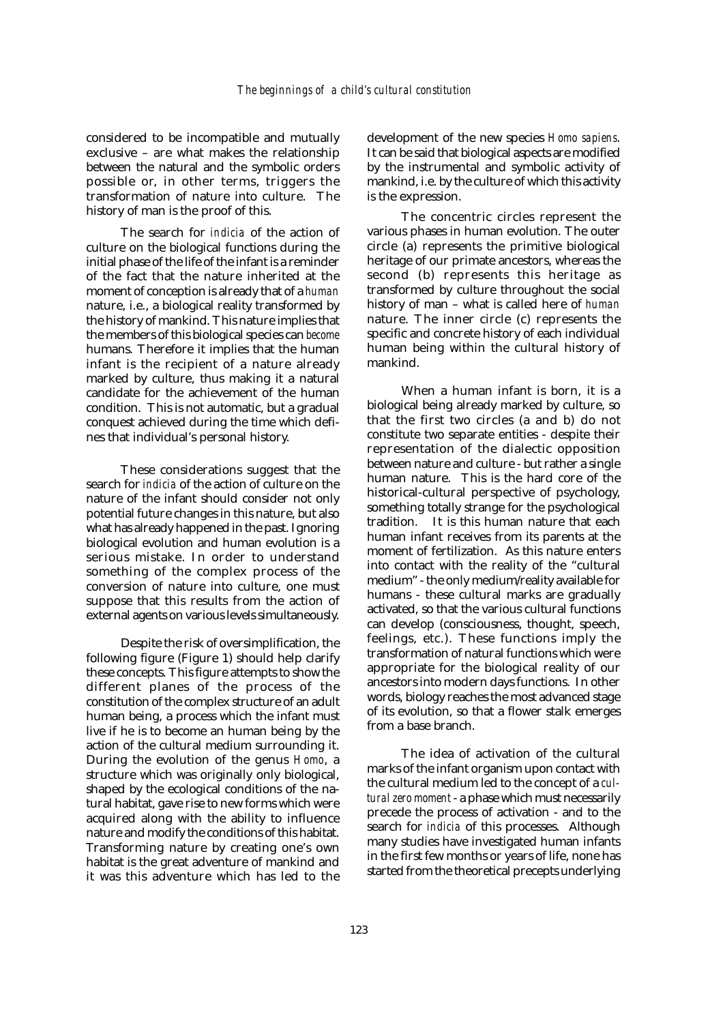considered to be incompatible and mutually exclusive – are what makes the relationship between the natural and the symbolic orders possible or, in other terms, triggers the transformation of nature into culture. The history of man is the proof of this.

The search for *indicia* of the action of culture on the biological functions during the initial phase of the life of the infant is a reminder of the fact that the nature inherited at the moment of conception is already that of a *human* nature, i.e., a biological reality transformed by the history of mankind. This nature implies that the members of this biological species can *become* humans. Therefore it implies that the human infant is the recipient of a nature already marked by culture, thus making it a natural candidate for the achievement of the human condition. This is not automatic, but a gradual conquest achieved during the time which defines that individual's personal history.

These considerations suggest that the search for *indicia* of the action of culture on the nature of the infant should consider not only potential future changes in this nature, but also what has already happened in the past. Ignoring biological evolution and human evolution is a serious mistake. In order to understand something of the complex process of the conversion of nature into culture, one must suppose that this results from the action of external agents on various levels simultaneously.

Despite the risk of oversimplification, the following figure (Figure 1) should help clarify these concepts. This figure attempts to show the different planes of the process of the constitution of the complex structure of an adult human being, a process which the infant must live if he is to become an human being by the action of the cultural medium surrounding it. During the evolution of the genus *Homo*, a structure which was originally only biological, shaped by the ecological conditions of the natural habitat, gave rise to new forms which were acquired along with the ability to influence nature and modify the conditions of this habitat. Transforming nature by creating one's own habitat is the great adventure of mankind and it was this adventure which has led to the

development of the new species *Homo sapiens*. It can be said that biological aspects are modified by the instrumental and symbolic activity of mankind, i.e. by the culture of which this activity is the expression.

The concentric circles represent the various phases in human evolution. The outer circle (a) represents the primitive biological heritage of our primate ancestors, whereas the second (b) represents this heritage as transformed by culture throughout the social history of man – what is called here of *human* nature. The inner circle (c) represents the specific and concrete history of each individual human being within the cultural history of mankind.

When a human infant is born, it is a biological being already marked by culture, so that the first two circles (a and b) do not constitute two separate entities - despite their representation of the dialectic opposition between nature and culture - but rather a single human nature. This is the hard core of the historical-cultural perspective of psychology, something totally strange for the psychological tradition. It is this human nature that each human infant receives from its parents at the moment of fertilization. As this nature enters into contact with the reality of the "cultural medium" - the only medium/reality available for humans - these cultural marks are gradually activated, so that the various cultural functions can develop (consciousness, thought, speech, feelings, etc.). These functions imply the transformation of natural functions which were appropriate for the biological reality of our ancestors into modern days functions. In other words, biology reaches the most advanced stage of its evolution, so that a flower stalk emerges from a base branch.

The idea of activation of the cultural marks of the infant organism upon contact with the cultural medium led to the concept of a *cultural zero moment* - a phase which must necessarily precede the process of activation - and to the search for *indicia* of this processes. Although many studies have investigated human infants in the first few months or years of life, none has started from the theoretical precepts underlying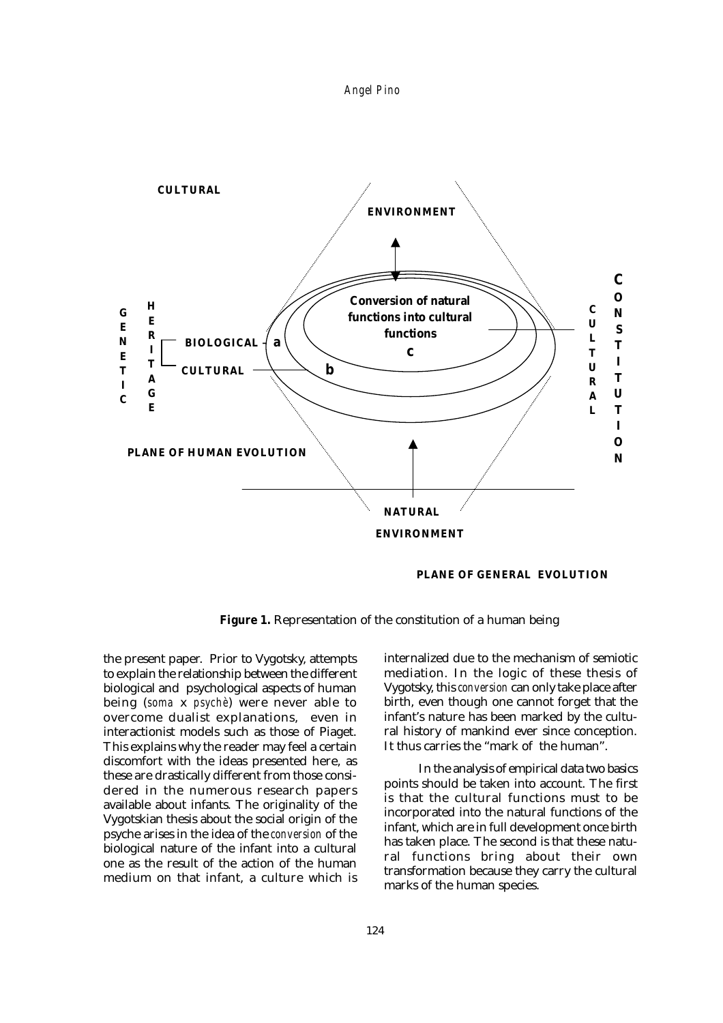



 **PLANE OF GENERAL EVOLUTION**

**Figure 1.** Representation of the constitution of a human being

the present paper. Prior to Vygotsky, attempts to explain the relationship between the different biological and psychological aspects of human being (*soma* x *psychè*) were never able to overcome dualist explanations, even in interactionist models such as those of Piaget. This explains why the reader may feel a certain discomfort with the ideas presented here, as these are drastically different from those considered in the numerous research papers available about infants. The originality of the Vygotskian thesis about the social origin of the psyche arises in the idea of the *conversion* of the biological nature of the infant into a cultural one as the result of the action of the human medium on that infant, a culture which is

internalized due to the mechanism of semiotic mediation. In the logic of these thesis of Vygotsky, this *conversion* can only take place after birth, even though one cannot forget that the infant's nature has been marked by the cultural history of mankind ever since conception. It thus carries the "mark of the human".

In the analysis of empirical data two basics points should be taken into account. The first is that the cultural functions must to be incorporated into the natural functions of the infant, which are in full development once birth has taken place. The second is that these natural functions bring about their own transformation because they carry the cultural marks of the human species.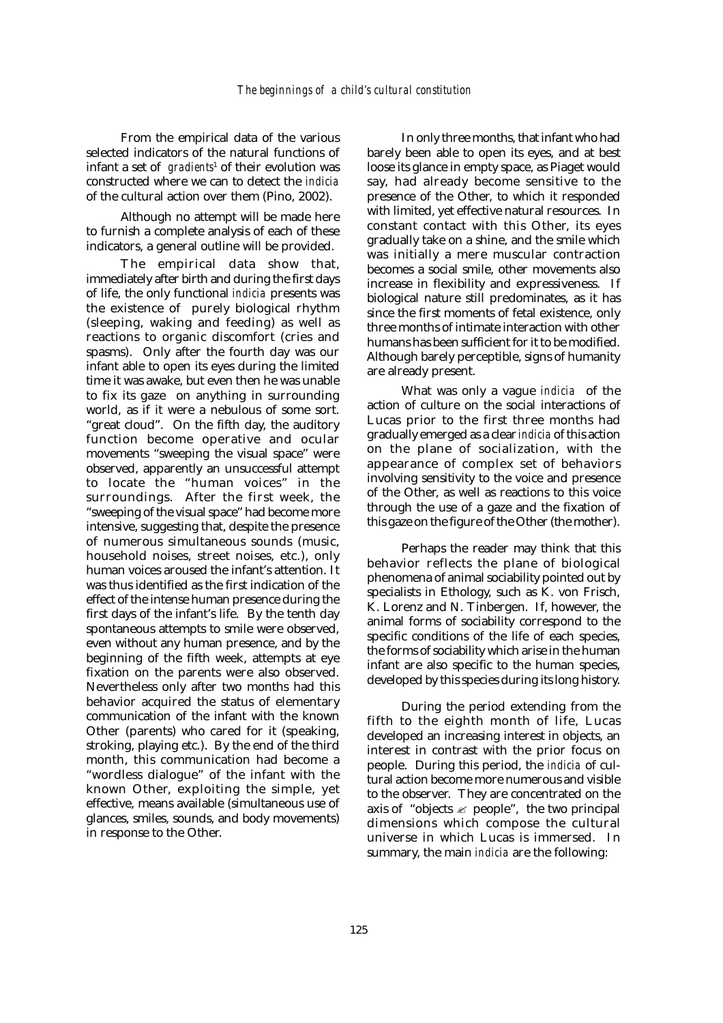From the empirical data of the various selected indicators of the natural functions of infant a set of *gradients*<sup>1</sup> of their evolution was constructed where we can to detect the *indicia* of the cultural action over them (Pino, 2002).

Although no attempt will be made here to furnish a complete analysis of each of these indicators, a general outline will be provided.

The empirical data show that, immediately after birth and during the first days of life, the only functional *indicia* presents was the existence of purely biological rhythm (sleeping, waking and feeding) as well as reactions to organic discomfort (cries and spasms). Only after the fourth day was our infant able to open its eyes during the limited time it was awake, but even then he was unable to fix its gaze on anything in surrounding world, as if it were a nebulous of some sort. "great cloud". On the fifth day, the auditory function become operative and ocular movements "sweeping the visual space" were observed, apparently an unsuccessful attempt to locate the "human voices" in the surroundings. After the first week, the "sweeping of the visual space" had become more intensive, suggesting that, despite the presence of numerous simultaneous sounds (music, household noises, street noises, etc.), only human voices aroused the infant's attention. It was thus identified as the first indication of the effect of the intense human presence during the first days of the infant's life. By the tenth day spontaneous attempts to smile were observed, even without any human presence, and by the beginning of the fifth week, attempts at eye fixation on the parents were also observed. Nevertheless only after two months had this behavior acquired the status of elementary communication of the infant with the known Other (parents) who cared for it (speaking, stroking, playing etc.). By the end of the third month, this communication had become a "wordless dialogue" of the infant with the known Other, exploiting the simple, yet effective, means available (simultaneous use of glances, smiles, sounds, and body movements) in response to the Other.

In only three months, that infant who had barely been able to open its eyes, and at best loose its glance in empty space, as Piaget would say, had already become sensitive to the presence of the Other, to which it responded with limited, yet effective natural resources. In constant contact with this Other, its eyes gradually take on a shine, and the smile which was initially a mere muscular contraction becomes a social smile, other movements also increase in flexibility and expressiveness. If biological nature still predominates, as it has since the first moments of fetal existence, only three months of intimate interaction with other humans has been sufficient for it to be modified. Although barely perceptible, signs of humanity are already present.

What was only a vague *indicia* of the action of culture on the social interactions of Lucas prior to the first three months had gradually emerged as a clear *indicia* of this action on the plane of socialization, with the appearance of complex set of behaviors involving sensitivity to the voice and presence of the Other, as well as reactions to this voice through the use of a gaze and the fixation of this gaze on the figure of the Other (the mother).

Perhaps the reader may think that this behavior reflects the plane of biological phenomena of animal sociability pointed out by specialists in Ethology, such as K. von Frisch, K. Lorenz and N. Tinbergen. If, however, the animal forms of sociability correspond to the specific conditions of the life of each species, the forms of sociability which arise in the human infant are also specific to the human species, developed by this species during its long history.

During the period extending from the fifth to the eighth month of life, Lucas developed an increasing interest in objects, an interest in contrast with the prior focus on people. During this period, the *indicia* of cultural action become more numerous and visible to the observer. They are concentrated on the axis of "objects  $\mathcal{L}$  people", the two principal dimensions which compose the cultural universe in which Lucas is immersed. In summary, the main *indicia* are the following: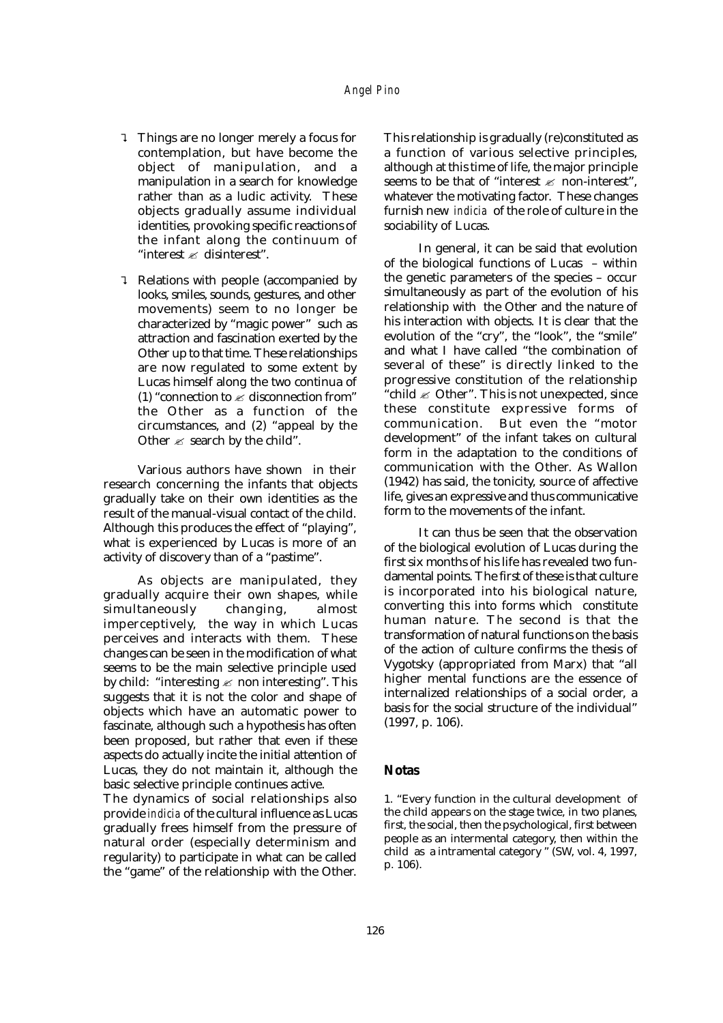- ? Things are no longer merely a focus for contemplation, but have become the object of manipulation, and a manipulation in a search for knowledge rather than as a ludic activity. These objects gradually assume individual identities, provoking specific reactions of the infant along the continuum of "interest  $\mathscr{\mathscr{E}}$  disinterest".
- ? Relations with people (accompanied by looks, smiles, sounds, gestures, and other movements) seem to no longer be characterized by "magic power" such as attraction and fascination exerted by the Other up to that time. These relationships are now regulated to some extent by Lucas himself along the two continua of (1) "connection to  $\mathscr Z$  disconnection from" the Other as a function of the circumstances, and (2) "appeal by the Other  $\mathcal E$  search by the child".

Various authors have shown in their research concerning the infants that objects gradually take on their own identities as the result of the manual-visual contact of the child. Although this produces the effect of "playing", what is experienced by Lucas is more of an activity of discovery than of a "pastime".

As objects are manipulated, they gradually acquire their own shapes, while simultaneously changing, almost imperceptively, the way in which Lucas perceives and interacts with them. These changes can be seen in the modification of what seems to be the main selective principle used by child: "interesting  $\mathscr E$  non interesting". This suggests that it is not the color and shape of objects which have an automatic power to fascinate, although such a hypothesis has often been proposed, but rather that even if these aspects do actually incite the initial attention of Lucas, they do not maintain it, although the basic selective principle continues active.

The dynamics of social relationships also provide *indicia* of the cultural influence as Lucas gradually frees himself from the pressure of natural order (especially determinism and regularity) to participate in what can be called the "game" of the relationship with the Other.

This relationship is gradually (re)constituted as a function of various selective principles, although at this time of life, the major principle seems to be that of "interest  $\mathscr E$  non-interest", whatever the motivating factor. These changes furnish new *indicia* of the role of culture in the sociability of Lucas.

In general, it can be said that evolution of the biological functions of Lucas – within the genetic parameters of the species – occur simultaneously as part of the evolution of his relationship with the Other and the nature of his interaction with objects. It is clear that the evolution of the "cry", the "look", the "smile" and what I have called "the combination of several of these" is directly linked to the progressive constitution of the relationship "child  $\mathcal{Z}$  Other". This is not unexpected, since these constitute expressive forms of communication. But even the "motor development" of the infant takes on cultural form in the adaptation to the conditions of communication with the Other. As Wallon (1942) has said, the tonicity, source of affective life, gives an expressive and thus communicative form to the movements of the infant.

It can thus be seen that the observation of the biological evolution of Lucas during the first six months of his life has revealed two fundamental points. The first of these is that culture is incorporated into his biological nature, converting this into forms which constitute human nature. The second is that the transformation of natural functions on the basis of the action of culture confirms the thesis of Vygotsky (appropriated from Marx) that "all higher mental functions are the essence of internalized relationships of a social order, a basis for the social structure of the individual" (1997, p. 106).

#### **Notas**

1. "Every function in the cultural development of the child appears on the stage twice, in two planes, first, the social, then the psychological, first between people as an intermental category, then within the child as a intramental category " (SW, vol. 4, 1997, p. 106).